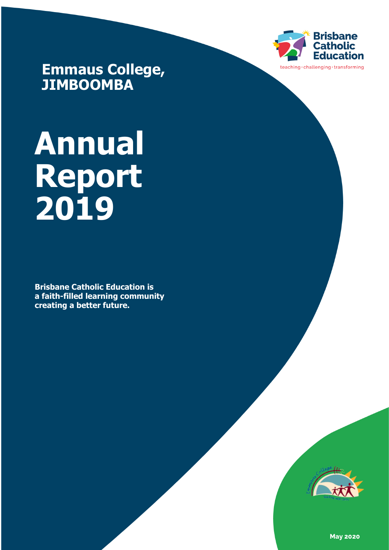

**Emmaus College, JIMBOOMBA**

# **Annual Report 2019**

**Brisbane Catholic Education is a faith-filled learning community creating a better future.** 



**May 2020**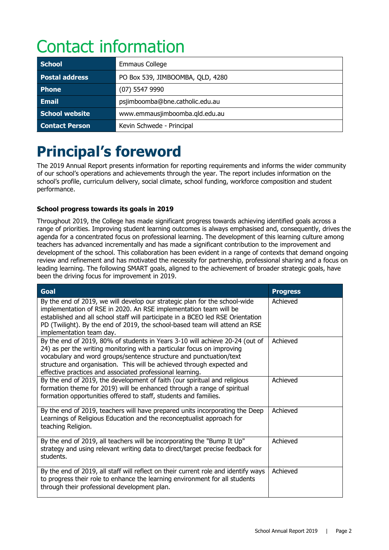# Contact information

| <b>School</b>         | <b>Emmaus College</b>            |  |
|-----------------------|----------------------------------|--|
| <b>Postal address</b> | PO Box 539, JIMBOOMBA, QLD, 4280 |  |
| <b>Phone</b>          | $(07)$ 5547 9990                 |  |
| <b>Email</b>          | psjimboomba@bne.catholic.edu.au  |  |
| School website        | www.emmausjimboomba.qld.edu.au   |  |
| <b>Contact Person</b> | Kevin Schwede - Principal        |  |

# **Principal's foreword**

The 2019 Annual Report presents information for reporting requirements and informs the wider community of our school's operations and achievements through the year. The report includes information on the school's profile, curriculum delivery, social climate, school funding, workforce composition and student performance.

#### **School progress towards its goals in 2019**

Throughout 2019, the College has made significant progress towards achieving identified goals across a range of priorities. Improving student learning outcomes is always emphasised and, consequently, drives the agenda for a concentrated focus on professional learning. The development of this learning culture among teachers has advanced incrementally and has made a significant contribution to the improvement and development of the school. This collaboration has been evident in a range of contexts that demand ongoing review and refinement and has motivated the necessity for partnership, professional sharing and a focus on leading learning. The following SMART goals, aligned to the achievement of broader strategic goals, have been the driving focus for improvement in 2019.

| Goal                                                                                                                                                                                                                                                                                                                                                                | <b>Progress</b> |
|---------------------------------------------------------------------------------------------------------------------------------------------------------------------------------------------------------------------------------------------------------------------------------------------------------------------------------------------------------------------|-----------------|
| By the end of 2019, we will develop our strategic plan for the school-wide<br>implementation of RSE in 2020. An RSE implementation team will be<br>established and all school staff will participate in a BCEO led RSE Orientation<br>PD (Twilight). By the end of 2019, the school-based team will attend an RSE<br>implementation team day.                       | Achieved        |
| By the end of 2019, 80% of students in Years 3-10 will achieve 20-24 (out of<br>24) as per the writing monitoring with a particular focus on improving<br>vocabulary and word groups/sentence structure and punctuation/text<br>structure and organisation. This will be achieved through expected and<br>effective practices and associated professional learning. | Achieved        |
| By the end of 2019, the development of faith (our spiritual and religious<br>formation theme for 2019) will be enhanced through a range of spiritual<br>formation opportunities offered to staff, students and families.                                                                                                                                            | Achieved        |
| By the end of 2019, teachers will have prepared units incorporating the Deep<br>Learnings of Religious Education and the reconceptualist approach for<br>teaching Religion.                                                                                                                                                                                         | Achieved        |
| By the end of 2019, all teachers will be incorporating the "Bump It Up"<br>strategy and using relevant writing data to direct/target precise feedback for<br>students.                                                                                                                                                                                              | Achieved        |
| By the end of 2019, all staff will reflect on their current role and identify ways<br>to progress their role to enhance the learning environment for all students<br>through their professional development plan.                                                                                                                                                   | Achieved        |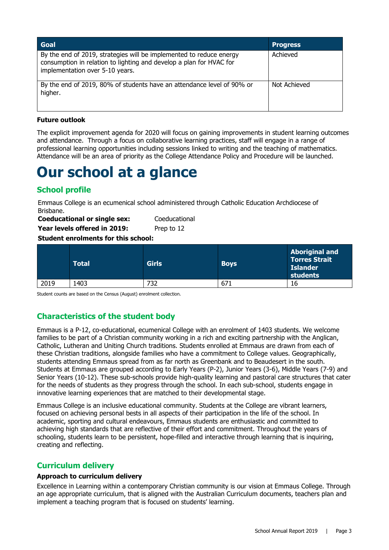| Goal                                                                                                                                                                          | <b>Progress</b> |
|-------------------------------------------------------------------------------------------------------------------------------------------------------------------------------|-----------------|
| By the end of 2019, strategies will be implemented to reduce energy<br>consumption in relation to lighting and develop a plan for HVAC for<br>implementation over 5-10 years. | Achieved        |
| By the end of 2019, 80% of students have an attendance level of 90% or<br>higher.                                                                                             | Not Achieved    |

#### **Future outlook**

The explicit improvement agenda for 2020 will focus on gaining improvements in student learning outcomes and attendance. Through a focus on collaborative learning practices, staff will engage in a range of professional learning opportunities including sessions linked to writing and the teaching of mathematics. Attendance will be an area of priority as the College Attendance Policy and Procedure will be launched.

## **Our school at a glance**

#### **School profile**

Emmaus College is an ecumenical school administered through Catholic Education Archdiocese of Brisbane.

| <b>Coeducational or single sex:</b> | Coeducational |
|-------------------------------------|---------------|
| Year levels offered in 2019:        | Prep to 12    |

#### **Student enrolments for this school:**

|      | Total | <b>Girls</b> | <b>Boys</b> | <b>Aboriginal and</b><br><b>Torres Strait</b><br><b>Islander</b><br>students |
|------|-------|--------------|-------------|------------------------------------------------------------------------------|
| 2019 | 1403  | 732          | 671         | 16                                                                           |

Student counts are based on the Census (August) enrolment collection.

#### **Characteristics of the student body**

Emmaus is a P-12, co-educational, ecumenical College with an enrolment of 1403 students. We welcome families to be part of a Christian community working in a rich and exciting partnership with the Anglican, Catholic, Lutheran and Uniting Church traditions. Students enrolled at Emmaus are drawn from each of these Christian traditions, alongside families who have a commitment to College values. Geographically, students attending Emmaus spread from as far north as Greenbank and to Beaudesert in the south. Students at Emmaus are grouped according to Early Years (P-2), Junior Years (3-6), Middle Years (7-9) and Senior Years (10-12). These sub-schools provide high-quality learning and pastoral care structures that cater for the needs of students as they progress through the school. In each sub-school, students engage in innovative learning experiences that are matched to their developmental stage.

Emmaus College is an inclusive educational community. Students at the College are vibrant learners, focused on achieving personal bests in all aspects of their participation in the life of the school. In academic, sporting and cultural endeavours, Emmaus students are enthusiastic and committed to achieving high standards that are reflective of their effort and commitment. Throughout the years of schooling, students learn to be persistent, hope-filled and interactive through learning that is inquiring, creating and reflecting.

#### **Curriculum delivery**

#### **Approach to curriculum delivery**

Excellence in Learning within a contemporary Christian community is our vision at Emmaus College. Through an age appropriate curriculum, that is aligned with the Australian Curriculum documents, teachers plan and implement a teaching program that is focused on students' learning.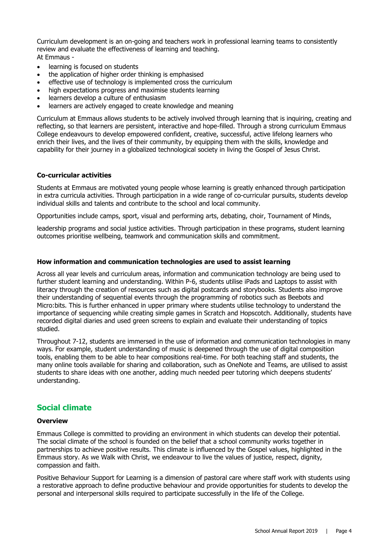Curriculum development is an on-going and teachers work in professional learning teams to consistently review and evaluate the effectiveness of learning and teaching. At Emmaus -

- learning is focused on students
- the application of higher order thinking is emphasised
- effective use of technology is implemented cross the curriculum
- high expectations progress and maximise students learning
- learners develop a culture of enthusiasm
- learners are actively engaged to create knowledge and meaning

Curriculum at Emmaus allows students to be actively involved through learning that is inquiring, creating and reflecting, so that learners are persistent, interactive and hope-filled. Through a strong curriculum Emmaus College endeavours to develop empowered confident, creative, successful, active lifelong learners who enrich their lives, and the lives of their community, by equipping them with the skills, knowledge and capability for their journey in a globalized technological society in living the Gospel of Jesus Christ.

#### **Co-curricular activities**

Students at Emmaus are motivated young people whose learning is greatly enhanced through participation in extra curricula activities. Through participation in a wide range of co-curricular pursuits, students develop individual skills and talents and contribute to the school and local community.

Opportunities include camps, sport, visual and performing arts, debating, choir, Tournament of Minds,

leadership programs and social justice activities. Through participation in these programs, student learning outcomes prioritise wellbeing, teamwork and communication skills and commitment.

#### **How information and communication technologies are used to assist learning**

Across all year levels and curriculum areas, information and communication technology are being used to further student learning and understanding. Within P-6, students utilise iPads and Laptops to assist with literacy through the creation of resources such as digital postcards and storybooks. Students also improve their understanding of sequential events through the programming of robotics such as Beebots and Micro:bits. This is further enhanced in upper primary where students utilise technology to understand the importance of sequencing while creating simple games in Scratch and Hopscotch. Additionally, students have recorded digital diaries and used green screens to explain and evaluate their understanding of topics studied.

Throughout 7-12, students are immersed in the use of information and communication technologies in many ways. For example, student understanding of music is deepened through the use of digital composition tools, enabling them to be able to hear compositions real-time. For both teaching staff and students, the many online tools available for sharing and collaboration, such as OneNote and Teams, are utilised to assist students to share ideas with one another, adding much needed peer tutoring which deepens students' understanding.

#### **Social climate**

#### **Overview**

Emmaus College is committed to providing an environment in which students can develop their potential. The social climate of the school is founded on the belief that a school community works together in partnerships to achieve positive results. This climate is influenced by the Gospel values, highlighted in the Emmaus story. As we Walk with Christ, we endeavour to live the values of justice, respect, dignity, compassion and faith.

Positive Behaviour Support for Learning is a dimension of pastoral care where staff work with students using a restorative approach to define productive behaviour and provide opportunities for students to develop the personal and interpersonal skills required to participate successfully in the life of the College.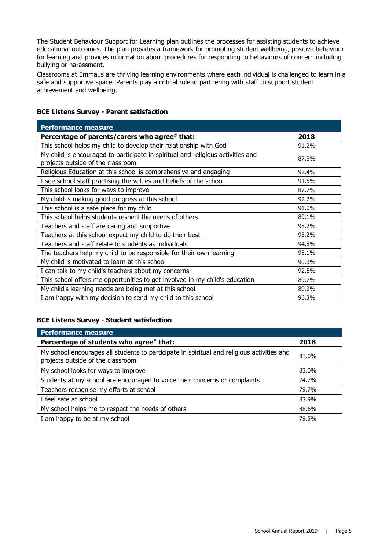The Student Behaviour Support for Learning plan outlines the processes for assisting students to achieve educational outcomes. The plan provides a framework for promoting student wellbeing, positive behaviour for learning and provides information about procedures for responding to behaviours of concern including bullying or harassment.

Classrooms at Emmaus are thriving learning environments where each individual is challenged to learn in a safe and supportive space. Parents play a critical role in partnering with staff to support student achievement and wellbeing.

#### **BCE Listens Survey - Parent satisfaction**

| <b>Performance measure</b>                                                                                           |       |
|----------------------------------------------------------------------------------------------------------------------|-------|
| Percentage of parents/carers who agree# that:                                                                        | 2018  |
| This school helps my child to develop their relationship with God                                                    | 91.2% |
| My child is encouraged to participate in spiritual and religious activities and<br>projects outside of the classroom | 87.8% |
| Religious Education at this school is comprehensive and engaging                                                     | 92.4% |
| I see school staff practising the values and beliefs of the school                                                   | 94.5% |
| This school looks for ways to improve                                                                                | 87.7% |
| My child is making good progress at this school                                                                      | 92.2% |
| This school is a safe place for my child                                                                             | 91.0% |
| This school helps students respect the needs of others                                                               | 89.1% |
| Teachers and staff are caring and supportive                                                                         | 98.2% |
| Teachers at this school expect my child to do their best                                                             | 95.2% |
| Teachers and staff relate to students as individuals                                                                 | 94.8% |
| The teachers help my child to be responsible for their own learning                                                  | 95.1% |
| My child is motivated to learn at this school                                                                        | 90.3% |
| I can talk to my child's teachers about my concerns                                                                  | 92.5% |
| This school offers me opportunities to get involved in my child's education                                          | 89.7% |
| My child's learning needs are being met at this school                                                               | 89.3% |
| I am happy with my decision to send my child to this school                                                          | 96.3% |

#### **BCE Listens Survey - Student satisfaction**

| <b>Performance measure</b>                                                                                                      |       |
|---------------------------------------------------------------------------------------------------------------------------------|-------|
| Percentage of students who agree* that:                                                                                         | 2018  |
| My school encourages all students to participate in spiritual and religious activities and<br>projects outside of the classroom | 81.6% |
| My school looks for ways to improve                                                                                             | 83.0% |
| Students at my school are encouraged to voice their concerns or complaints                                                      | 74.7% |
| Teachers recognise my efforts at school                                                                                         | 79.7% |
| I feel safe at school                                                                                                           | 83.9% |
| My school helps me to respect the needs of others                                                                               | 88.6% |
| I am happy to be at my school                                                                                                   | 79.5% |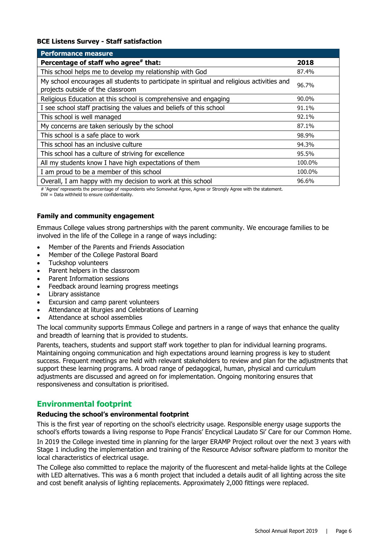#### **BCE Listens Survey - Staff satisfaction**

| <b>Performance measure</b>                                                                                                      |        |
|---------------------------------------------------------------------------------------------------------------------------------|--------|
| Percentage of staff who agree# that:                                                                                            | 2018   |
| This school helps me to develop my relationship with God                                                                        | 87.4%  |
| My school encourages all students to participate in spiritual and religious activities and<br>projects outside of the classroom | 96.7%  |
| Religious Education at this school is comprehensive and engaging                                                                | 90.0%  |
| I see school staff practising the values and beliefs of this school                                                             | 91.1%  |
| This school is well managed                                                                                                     | 92.1%  |
| My concerns are taken seriously by the school                                                                                   | 87.1%  |
| This school is a safe place to work                                                                                             | 98.9%  |
| This school has an inclusive culture                                                                                            | 94.3%  |
| This school has a culture of striving for excellence                                                                            | 95.5%  |
| All my students know I have high expectations of them                                                                           | 100.0% |
| I am proud to be a member of this school                                                                                        | 100.0% |
| Overall, I am happy with my decision to work at this school                                                                     | 96.6%  |

# 'Agree' represents the percentage of respondents who Somewhat Agree, Agree or Strongly Agree with the statement.  $DW = Data$  withheld to ensure confidentiality.

#### **Family and community engagement**

Emmaus College values strong partnerships with the parent community. We encourage families to be involved in the life of the College in a range of ways including:

- Member of the Parents and Friends Association
- Member of the College Pastoral Board
- Tuckshop volunteers
- Parent helpers in the classroom
- Parent Information sessions
- Feedback around learning progress meetings
- Library assistance
- Excursion and camp parent volunteers
- Attendance at liturgies and Celebrations of Learning
- Attendance at school assemblies

The local community supports Emmaus College and partners in a range of ways that enhance the quality and breadth of learning that is provided to students.

Parents, teachers, students and support staff work together to plan for individual learning programs. Maintaining ongoing communication and high expectations around learning progress is key to student success. Frequent meetings are held with relevant stakeholders to review and plan for the adjustments that support these learning programs. A broad range of pedagogical, human, physical and curriculum adjustments are discussed and agreed on for implementation. Ongoing monitoring ensures that responsiveness and consultation is prioritised.

#### **Environmental footprint**

#### **Reducing the school's environmental footprint**

This is the first year of reporting on the school's electricity usage. Responsible energy usage supports the school's efforts towards a living response to Pope Francis' Encyclical Laudato Si' Care for our Common Home. In 2019 the College invested time in planning for the larger ERAMP Project rollout over the next 3 years with Stage 1 including the implementation and training of the Resource Advisor software platform to monitor the local characteristics of electrical usage.

The College also committed to replace the majority of the fluorescent and metal-halide lights at the College with LED alternatives. This was a 6 month project that included a details audit of all lighting across the site and cost benefit analysis of lighting replacements. Approximately 2,000 fittings were replaced.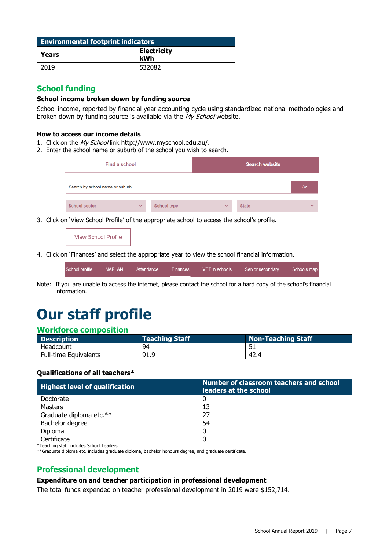| <b>Environmental footprint indicators</b> |                           |  |  |
|-------------------------------------------|---------------------------|--|--|
| Years                                     | <b>Electricity</b><br>kWh |  |  |
| 2019                                      | 532082                    |  |  |

#### **School funding**

#### **School income broken down by funding source**

School income, reported by financial year accounting cycle using standardized national methodologies and broken down by funding source is available via the [My School](http://www.myschool.edu.au/) website.

#### **How to access our income details**

- 1. Click on the My School link [http://www.myschool.edu.au/.](http://www.myschool.edu.au/)
- 2. Enter the school name or suburb of the school you wish to search.

| Find a school                   |              |                    |              | <b>Search website</b> |              |
|---------------------------------|--------------|--------------------|--------------|-----------------------|--------------|
| Search by school name or suburb |              |                    |              |                       | Go           |
| <b>School sector</b>            | $\checkmark$ | <b>School type</b> | $\checkmark$ | <b>State</b>          | $\checkmark$ |

3. Click on 'View School Profile' of the appropriate school to access the school's profile.

#### **View School Profile**

4. Click on 'Finances' and select the appropriate year to view the school financial information.

| School profile | NAPLAN | Attendance | Finances | VET in schools | Senior secondary | Schools map |
|----------------|--------|------------|----------|----------------|------------------|-------------|
|                |        |            |          |                |                  |             |

Note: If you are unable to access the internet, please contact the school for a hard copy of the school's financial information.

# **Our staff profile**

#### **Workforce composition**

| <b>Description</b>    | <b>Teaching Staff</b> | <b>Non-Teaching Staff</b> |  |
|-----------------------|-----------------------|---------------------------|--|
| Headcount             | 94                    |                           |  |
| Full-time Equivalents | 91.9                  | -42.4                     |  |

#### **Qualifications of all teachers\***

| <b>Highest level of qualification</b> | Number of classroom teachers and school<br>leaders at the school |
|---------------------------------------|------------------------------------------------------------------|
| Doctorate                             |                                                                  |
| Masters                               | 13                                                               |
| Graduate diploma etc.**               | 27                                                               |
| Bachelor degree                       | 54                                                               |
| <b>Diploma</b>                        |                                                                  |
| Certificate                           |                                                                  |

\*Teaching staff includes School Leaders

\*\*Graduate diploma etc. includes graduate diploma, bachelor honours degree, and graduate certificate.

#### **Professional development**

#### **Expenditure on and teacher participation in professional development**

The total funds expended on teacher professional development in 2019 were \$152,714.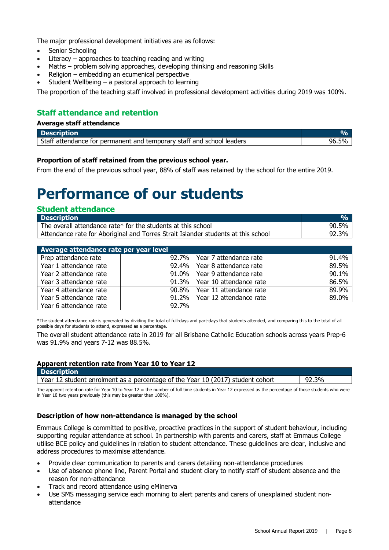The major professional development initiatives are as follows:

- Senior Schooling
- Literacy  $-$  approaches to teaching reading and writing
- Maths problem solving approaches, developing thinking and reasoning Skills
- Religion embedding an ecumenical perspective
- Student Wellbeing  $-$  a pastoral approach to learning

The proportion of the teaching staff involved in professional development activities during 2019 was 100%.

#### **Staff attendance and retention**

#### **Average staff attendance**

| <b>Description</b>                                                    | $\mathbf{v}$ |
|-----------------------------------------------------------------------|--------------|
| Staff attendance for permanent and temporary staff and school leaders |              |

#### **Proportion of staff retained from the previous school year.**

From the end of the previous school year, 88% of staff was retained by the school for the entire 2019.

## **Performance of our students**

| <b>Student attendance</b>                                                         |                      |
|-----------------------------------------------------------------------------------|----------------------|
| <b>Description</b>                                                                | <b>V<sub>o</sub></b> |
| The overall attendance rate* for the students at this school                      | 90.5%                |
| Attendance rate for Aboriginal and Torres Strait Islander students at this school | 92.3%                |

| Average attendance rate per year level |          |                                 |       |  |
|----------------------------------------|----------|---------------------------------|-------|--|
| Prep attendance rate                   | $92.7\%$ | Year 7 attendance rate          | 91.4% |  |
| Year 1 attendance rate                 |          | 92.4%   Year 8 attendance rate  | 89.5% |  |
| Year 2 attendance rate                 |          | 91.0%   Year 9 attendance rate  | 90.1% |  |
| Year 3 attendance rate                 |          | 91.3%   Year 10 attendance rate | 86.5% |  |
| Year 4 attendance rate                 |          | 90.8%   Year 11 attendance rate | 89.9% |  |
| Year 5 attendance rate                 | $91.2\%$ | Year 12 attendance rate         | 89.0% |  |
| Year 6 attendance rate                 | 92.7%    |                                 |       |  |

\*The student attendance rate is generated by dividing the total of full-days and part-days that students attended, and comparing this to the total of all possible days for students to attend, expressed as a percentage.

The overall student attendance rate in 2019 for all Brisbane Catholic Education schools across years Prep-6 was 91.9% and years 7-12 was 88.5%.

#### **Apparent retention rate from Year 10 to Year 12**

| <b>Description</b>                                                             |       |
|--------------------------------------------------------------------------------|-------|
| Year 12 student enrolment as a percentage of the Year 10 (2017) student cohort | 92.3% |

The apparent retention rate for Year 10 to Year 12 = the number of full time students in Year 12 expressed as the percentage of those students who were in Year 10 two years previously (this may be greater than 100%).

#### **Description of how non-attendance is managed by the school**

Emmaus College is committed to positive, proactive practices in the support of student behaviour, including supporting regular attendance at school. In partnership with parents and carers, staff at Emmaus College utilise BCE policy and guidelines in relation to student attendance. These guidelines are clear, inclusive and address procedures to maximise attendance.

- Provide clear communication to parents and carers detailing non-attendance procedures
- Use of absence phone line, Parent Portal and student diary to notify staff of student absence and the reason for non-attendance
- Track and record attendance using eMinerva
- Use SMS messaging service each morning to alert parents and carers of unexplained student nonattendance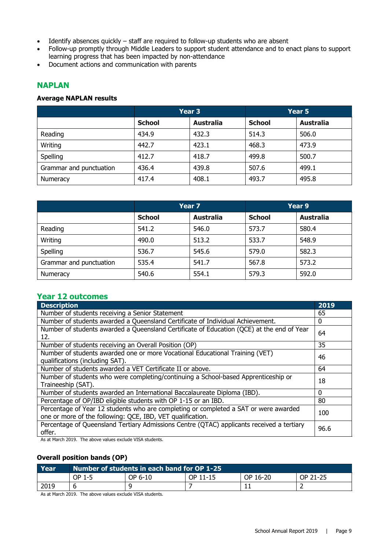- Identify absences quickly staff are required to follow-up students who are absent
- Follow-up promptly through Middle Leaders to support student attendance and to enact plans to support learning progress that has been impacted by non-attendance
- Document actions and communication with parents

#### **NAPLAN**

#### **Average NAPLAN results**

|                         | Year 3        |                  | Year 5        |                  |
|-------------------------|---------------|------------------|---------------|------------------|
|                         | <b>School</b> | <b>Australia</b> | <b>School</b> | <b>Australia</b> |
| Reading                 | 434.9         | 432.3            | 514.3         | 506.0            |
| Writing                 | 442.7         | 423.1            | 468.3         | 473.9            |
| Spelling                | 412.7         | 418.7            | 499.8         | 500.7            |
| Grammar and punctuation | 436.4         | 439.8            | 507.6         | 499.1            |
| Numeracy                | 417.4         | 408.1            | 493.7         | 495.8            |

|                         | Year 7        |                  | Year 9        |                  |
|-------------------------|---------------|------------------|---------------|------------------|
|                         | <b>School</b> | <b>Australia</b> | <b>School</b> | <b>Australia</b> |
| Reading                 | 541.2         | 546.0            | 573.7         | 580.4            |
| Writing                 | 490.0         | 513.2            | 533.7         | 548.9            |
| Spelling                | 536.7         | 545.6            | 579.0         | 582.3            |
| Grammar and punctuation | 535.4         | 541.7            | 567.8         | 573.2            |
| Numeracy                | 540.6         | 554.1            | 579.3         | 592.0            |

#### **Year 12 outcomes**

| <b>Description</b>                                                                                                                                                                                                                                                                                                                                                                                                         | 2019 |
|----------------------------------------------------------------------------------------------------------------------------------------------------------------------------------------------------------------------------------------------------------------------------------------------------------------------------------------------------------------------------------------------------------------------------|------|
| Number of students receiving a Senior Statement                                                                                                                                                                                                                                                                                                                                                                            | 65   |
| Number of students awarded a Queensland Certificate of Individual Achievement.                                                                                                                                                                                                                                                                                                                                             | 0    |
| Number of students awarded a Queensland Certificate of Education (QCE) at the end of Year<br>12.                                                                                                                                                                                                                                                                                                                           | 64   |
| Number of students receiving an Overall Position (OP)                                                                                                                                                                                                                                                                                                                                                                      | 35   |
| Number of students awarded one or more Vocational Educational Training (VET)<br>qualifications (including SAT).                                                                                                                                                                                                                                                                                                            | 46   |
| Number of students awarded a VET Certificate II or above.                                                                                                                                                                                                                                                                                                                                                                  | 64   |
| Number of students who were completing/continuing a School-based Apprenticeship or<br>Traineeship (SAT).                                                                                                                                                                                                                                                                                                                   | 18   |
| Number of students awarded an International Baccalaureate Diploma (IBD).                                                                                                                                                                                                                                                                                                                                                   | 0    |
| Percentage of OP/IBD eligible students with OP 1-15 or an IBD.                                                                                                                                                                                                                                                                                                                                                             | 80   |
| Percentage of Year 12 students who are completing or completed a SAT or were awarded<br>one or more of the following: QCE, IBD, VET qualification.                                                                                                                                                                                                                                                                         | 100  |
| Percentage of Queensland Tertiary Admissions Centre (QTAC) applicants received a tertiary<br>offer.<br>$\frac{1}{2}$ $\frac{1}{2}$ $\frac{1}{2}$ $\frac{1}{2}$ $\frac{1}{2}$ $\frac{1}{2}$ $\frac{1}{2}$ $\frac{1}{2}$ $\frac{1}{2}$ $\frac{1}{2}$ $\frac{1}{2}$ $\frac{1}{2}$ $\frac{1}{2}$ $\frac{1}{2}$ $\frac{1}{2}$ $\frac{1}{2}$ $\frac{1}{2}$ $\frac{1}{2}$ $\frac{1}{2}$ $\frac{1}{2}$ $\frac{1}{2}$ $\frac{1}{2}$ | 96.6 |

As at March 2019. The above values exclude VISA students.

#### **Overall position bands (OP)**

| Year | Number of students in each band for OP 1-25 |         |          |          |          |
|------|---------------------------------------------|---------|----------|----------|----------|
|      | OP 1-5                                      | OP 6-10 | OP 11-15 | OP 16-20 | OP 21-25 |
| 2019 |                                             |         |          | . .      |          |

As at March 2019. The above values exclude VISA students.